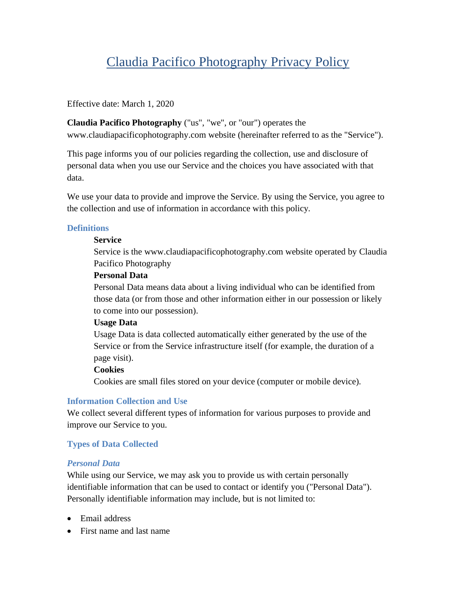# Claudia Pacifico Photography Privacy Policy

Effective date: March 1, 2020

**Claudia Pacifico Photography** ("us", "we", or "our") operates the www.claudiapacificophotography.com website (hereinafter referred to as the "Service").

This page informs you of our policies regarding the collection, use and disclosure of personal data when you use our Service and the choices you have associated with that data.

We use your data to provide and improve the Service. By using the Service, you agree to the collection and use of information in accordance with this policy.

## **Definitions**

#### **Service**

Service is the www.claudiapacificophotography.com website operated by Claudia Pacifico Photography

# **Personal Data**

Personal Data means data about a living individual who can be identified from those data (or from those and other information either in our possession or likely to come into our possession).

#### **Usage Data**

Usage Data is data collected automatically either generated by the use of the Service or from the Service infrastructure itself (for example, the duration of a page visit).

#### **Cookies**

Cookies are small files stored on your device (computer or mobile device).

#### **Information Collection and Use**

We collect several different types of information for various purposes to provide and improve our Service to you.

# **Types of Data Collected**

#### *Personal Data*

While using our Service, we may ask you to provide us with certain personally identifiable information that can be used to contact or identify you ("Personal Data"). Personally identifiable information may include, but is not limited to:

- Email address
- First name and last name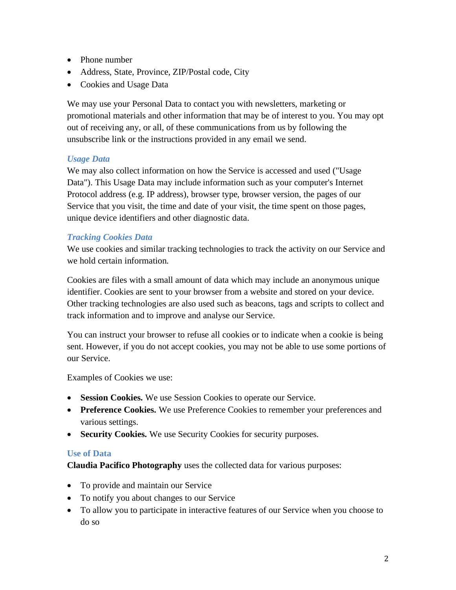- Phone number
- Address, State, Province, ZIP/Postal code, City
- Cookies and Usage Data

We may use your Personal Data to contact you with newsletters, marketing or promotional materials and other information that may be of interest to you. You may opt out of receiving any, or all, of these communications from us by following the unsubscribe link or the instructions provided in any email we send.

# *Usage Data*

We may also collect information on how the Service is accessed and used ("Usage Data"). This Usage Data may include information such as your computer's Internet Protocol address (e.g. IP address), browser type, browser version, the pages of our Service that you visit, the time and date of your visit, the time spent on those pages, unique device identifiers and other diagnostic data.

# *Tracking Cookies Data*

We use cookies and similar tracking technologies to track the activity on our Service and we hold certain information.

Cookies are files with a small amount of data which may include an anonymous unique identifier. Cookies are sent to your browser from a website and stored on your device. Other tracking technologies are also used such as beacons, tags and scripts to collect and track information and to improve and analyse our Service.

You can instruct your browser to refuse all cookies or to indicate when a cookie is being sent. However, if you do not accept cookies, you may not be able to use some portions of our Service.

Examples of Cookies we use:

- **Session Cookies.** We use Session Cookies to operate our Service.
- **Preference Cookies.** We use Preference Cookies to remember your preferences and various settings.
- **Security Cookies.** We use Security Cookies for security purposes.

# **Use of Data**

**Claudia Pacifico Photography** uses the collected data for various purposes:

- To provide and maintain our Service
- To notify you about changes to our Service
- To allow you to participate in interactive features of our Service when you choose to do so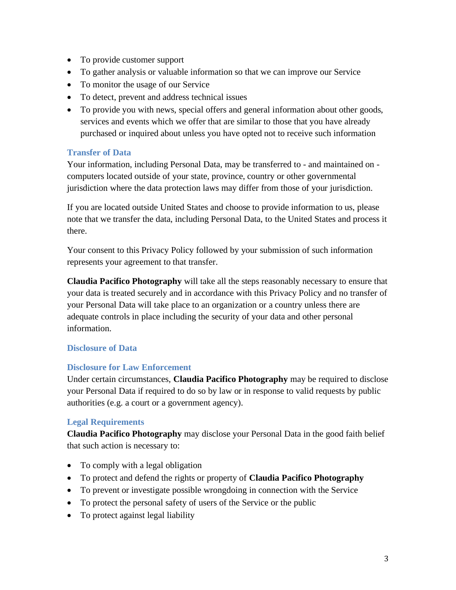- To provide customer support
- To gather analysis or valuable information so that we can improve our Service
- To monitor the usage of our Service
- To detect, prevent and address technical issues
- To provide you with news, special offers and general information about other goods, services and events which we offer that are similar to those that you have already purchased or inquired about unless you have opted not to receive such information

# **Transfer of Data**

Your information, including Personal Data, may be transferred to - and maintained on computers located outside of your state, province, country or other governmental jurisdiction where the data protection laws may differ from those of your jurisdiction.

If you are located outside United States and choose to provide information to us, please note that we transfer the data, including Personal Data, to the United States and process it there.

Your consent to this Privacy Policy followed by your submission of such information represents your agreement to that transfer.

**Claudia Pacifico Photography** will take all the steps reasonably necessary to ensure that your data is treated securely and in accordance with this Privacy Policy and no transfer of your Personal Data will take place to an organization or a country unless there are adequate controls in place including the security of your data and other personal information.

# **Disclosure of Data**

# **Disclosure for Law Enforcement**

Under certain circumstances, **Claudia Pacifico Photography** may be required to disclose your Personal Data if required to do so by law or in response to valid requests by public authorities (e.g. a court or a government agency).

# **Legal Requirements**

**Claudia Pacifico Photography** may disclose your Personal Data in the good faith belief that such action is necessary to:

- To comply with a legal obligation
- To protect and defend the rights or property of **Claudia Pacifico Photography**
- To prevent or investigate possible wrongdoing in connection with the Service
- To protect the personal safety of users of the Service or the public
- To protect against legal liability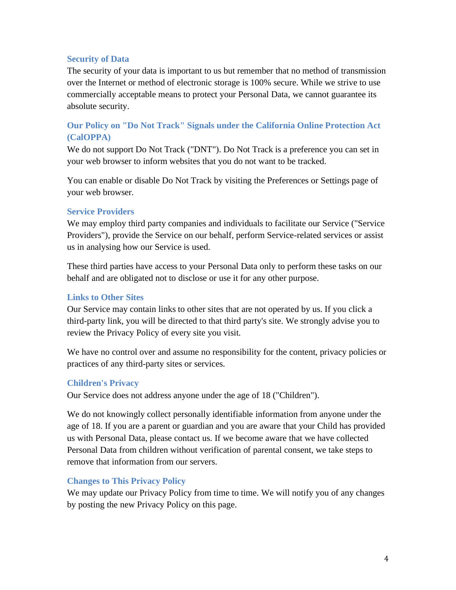## **Security of Data**

The security of your data is important to us but remember that no method of transmission over the Internet or method of electronic storage is 100% secure. While we strive to use commercially acceptable means to protect your Personal Data, we cannot guarantee its absolute security.

# **Our Policy on "Do Not Track" Signals under the California Online Protection Act (CalOPPA)**

We do not support Do Not Track ("DNT"). Do Not Track is a preference you can set in your web browser to inform websites that you do not want to be tracked.

You can enable or disable Do Not Track by visiting the Preferences or Settings page of your web browser.

## **Service Providers**

We may employ third party companies and individuals to facilitate our Service ("Service Providers"), provide the Service on our behalf, perform Service-related services or assist us in analysing how our Service is used.

These third parties have access to your Personal Data only to perform these tasks on our behalf and are obligated not to disclose or use it for any other purpose.

## **Links to Other Sites**

Our Service may contain links to other sites that are not operated by us. If you click a third-party link, you will be directed to that third party's site. We strongly advise you to review the Privacy Policy of every site you visit.

We have no control over and assume no responsibility for the content, privacy policies or practices of any third-party sites or services.

# **Children's Privacy**

Our Service does not address anyone under the age of 18 ("Children").

We do not knowingly collect personally identifiable information from anyone under the age of 18. If you are a parent or guardian and you are aware that your Child has provided us with Personal Data, please contact us. If we become aware that we have collected Personal Data from children without verification of parental consent, we take steps to remove that information from our servers.

# **Changes to This Privacy Policy**

We may update our Privacy Policy from time to time. We will notify you of any changes by posting the new Privacy Policy on this page.